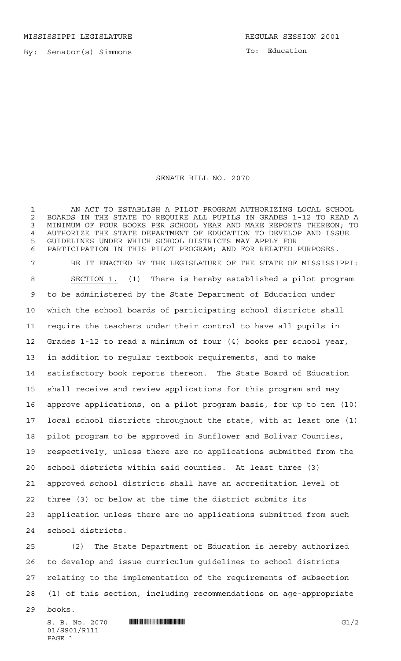MISSISSIPPI LEGISLATURE **REGULAR SESSION 2001** 

By: Senator(s) Simmons

To: Education

## SENATE BILL NO. 2070

 AN ACT TO ESTABLISH A PILOT PROGRAM AUTHORIZING LOCAL SCHOOL 2 BOARDS IN THE STATE TO REQUIRE ALL PUPILS IN GRADES 1-12 TO READ A<br>3 MINIMUM OF FOUR BOOKS PER SCHOOL YEAR AND MAKE REPORTS THEREON: TO MINIMUM OF FOUR BOOKS PER SCHOOL YEAR AND MAKE REPORTS THEREON; TO AUTHORIZE THE STATE DEPARTMENT OF EDUCATION TO DEVELOP AND ISSUE GUIDELINES UNDER WHICH SCHOOL DISTRICTS MAY APPLY FOR PARTICIPATION IN THIS PILOT PROGRAM; AND FOR RELATED PURPOSES. BE IT ENACTED BY THE LEGISLATURE OF THE STATE OF MISSISSIPPI: SECTION 1. (1) There is hereby established a pilot program to be administered by the State Department of Education under which the school boards of participating school districts shall require the teachers under their control to have all pupils in Grades 1-12 to read a minimum of four (4) books per school year, in addition to regular textbook requirements, and to make satisfactory book reports thereon. The State Board of Education shall receive and review applications for this program and may approve applications, on a pilot program basis, for up to ten (10) local school districts throughout the state, with at least one (1) pilot program to be approved in Sunflower and Bolivar Counties, respectively, unless there are no applications submitted from the school districts within said counties. At least three (3) approved school districts shall have an accreditation level of three (3) or below at the time the district submits its application unless there are no applications submitted from such school districts.

 (2) The State Department of Education is hereby authorized to develop and issue curriculum guidelines to school districts relating to the implementation of the requirements of subsection (1) of this section, including recommendations on age-appropriate

books.

 $S. B. No. 2070$   $\blacksquare$   $\blacksquare$   $\blacksquare$   $\blacksquare$   $\blacksquare$   $\blacksquare$   $\blacksquare$   $\blacksquare$   $\blacksquare$   $\blacksquare$   $\blacksquare$   $\blacksquare$   $\blacksquare$   $\blacksquare$   $\blacksquare$   $\blacksquare$   $\blacksquare$   $\blacksquare$   $\blacksquare$   $\blacksquare$   $\blacksquare$   $\blacksquare$   $\blacksquare$   $\blacksquare$   $\blacksquare$   $\blacksquare$   $\blacksquare$   $\blacksquare$   $\blacksquare$   $\blacks$ 01/SS01/R111 PAGE 1